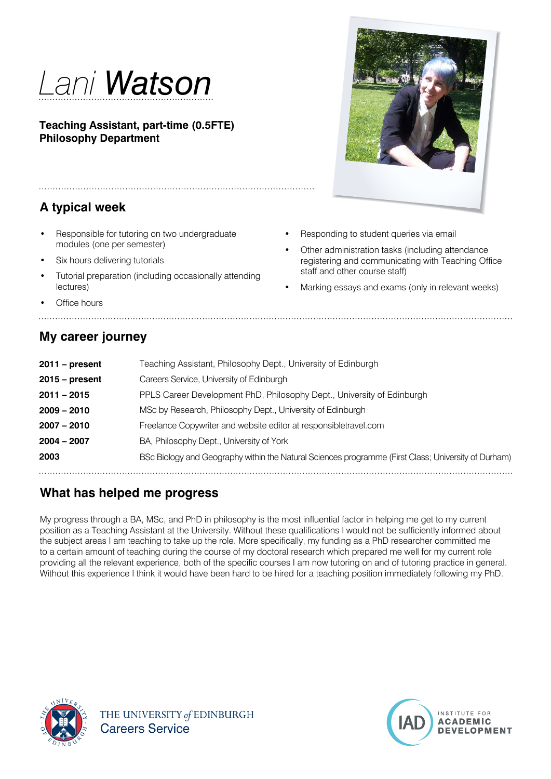

**Teaching Assistant, part-time (0.5FTE) Philosophy Department**

# **A typical week**

- Responsible for tutoring on two undergraduate modules (one per semester)
- Six hours delivering tutorials
- Tutorial preparation (including occasionally attending lectures)

**Office hours** 

#### **My career journey**

**2011 – present** Teaching Assistant, Philosophy Dept., University of Edinburgh **2015 – present** Careers Service, University of Edinburgh **2011 – 2015** PPLS Career Development PhD, Philosophy Dept., University of Edinburgh **2009 – 2010** MSc by Research, Philosophy Dept., University of Edinburgh **2007 – 2010** Freelance Copywriter and website editor at responsibletravel.com **2004 – 2007** BA, Philosophy Dept., University of York **2003** BSc Biology and Geography within the Natural Sciences programme (First Class; University of Durham) 

## **What has helped me progress**

My progress through a BA, MSc, and PhD in philosophy is the most influential factor in helping me get to my current position as a Teaching Assistant at the University. Without these qualifications I would not be sufficiently informed about the subject areas I am teaching to take up the role. More specifically, my funding as a PhD researcher committed me to a certain amount of teaching during the course of my doctoral research which prepared me well for my current role providing all the relevant experience, both of the specific courses I am now tutoring on and of tutoring practice in general. Without this experience I think it would have been hard to be hired for a teaching position immediately following my PhD.





- Responding to student queries via email
- Other administration tasks (including attendance registering and communicating with Teaching Office staff and other course staff)
- Marking essays and exams (only in relevant weeks)